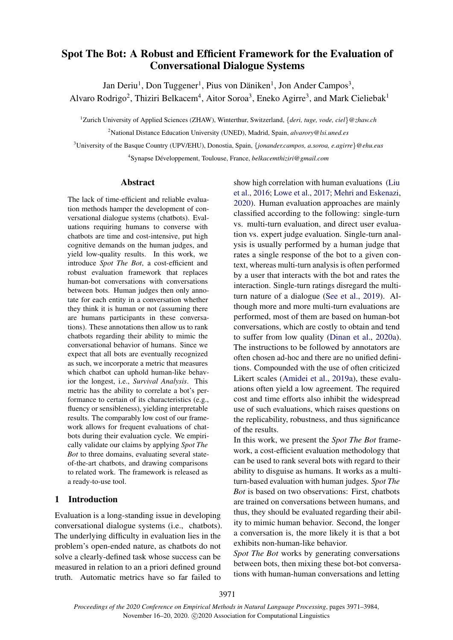# Spot The Bot: A Robust and Efficient Framework for the Evaluation of Conversational Dialogue Systems

Jan Deriu<sup>1</sup>, Don Tuggener<sup>1</sup>, Pius von Däniken<sup>1</sup>, Jon Ander Campos<sup>3</sup>,

Alvaro Rodrigo<sup>2</sup>, Thiziri Belkacem<sup>4</sup>, Aitor Soroa<sup>3</sup>, Eneko Agirre<sup>3</sup>, and Mark Cieliebak<sup>1</sup>

<sup>1</sup>Zurich University of Applied Sciences (ZHAW), Winterthur, Switzerland, {*deri, tuge, vode, ciel*}*@zhaw.ch*

<sup>2</sup>National Distance Education University (UNED), Madrid, Spain, *alvarory@lsi.uned.es*

<sup>3</sup>University of the Basque Country (UPV/EHU), Donostia, Spain, {*jonander.campos, a.soroa, e.agirre*}*@ehu.eus*

<sup>4</sup>Synapse Développement, Toulouse, France, belkacemthiziri@gmail.com

# Abstract

The lack of time-efficient and reliable evaluation methods hamper the development of conversational dialogue systems (chatbots). Evaluations requiring humans to converse with chatbots are time and cost-intensive, put high cognitive demands on the human judges, and yield low-quality results. In this work, we introduce *Spot The Bot*, a cost-efficient and robust evaluation framework that replaces human-bot conversations with conversations between bots. Human judges then only annotate for each entity in a conversation whether they think it is human or not (assuming there are humans participants in these conversations). These annotations then allow us to rank chatbots regarding their ability to mimic the conversational behavior of humans. Since we expect that all bots are eventually recognized as such, we incorporate a metric that measures which chatbot can uphold human-like behavior the longest, i.e., *Survival Analysis*. This metric has the ability to correlate a bot's performance to certain of its characteristics (e.g., fluency or sensibleness), yielding interpretable results. The comparably low cost of our framework allows for frequent evaluations of chatbots during their evaluation cycle. We empirically validate our claims by applying *Spot The Bot* to three domains, evaluating several stateof-the-art chatbots, and drawing comparisons to related work. The framework is released as a ready-to-use tool.

# 1 Introduction

Evaluation is a long-standing issue in developing conversational dialogue systems (i.e., chatbots). The underlying difficulty in evaluation lies in the problem's open-ended nature, as chatbots do not solve a clearly-defined task whose success can be measured in relation to an a priori defined ground truth. Automatic metrics have so far failed to

show high correlation with human evaluations [\(Liu](#page-9-0) [et al.,](#page-9-0) [2016;](#page-9-0) [Lowe et al.,](#page-9-1) [2017;](#page-9-1) [Mehri and Eskenazi,](#page-9-2) [2020\)](#page-9-2). Human evaluation approaches are mainly classified according to the following: single-turn vs. multi-turn evaluation, and direct user evaluation vs. expert judge evaluation. Single-turn analysis is usually performed by a human judge that rates a single response of the bot to a given context, whereas multi-turn analysis is often performed by a user that interacts with the bot and rates the interaction. Single-turn ratings disregard the multiturn nature of a dialogue [\(See et al.,](#page-10-0) [2019\)](#page-10-0). Although more and more multi-turn evaluations are performed, most of them are based on human-bot conversations, which are costly to obtain and tend to suffer from low quality [\(Dinan et al.,](#page-9-3) [2020a\)](#page-9-3). The instructions to be followed by annotators are often chosen ad-hoc and there are no unified definitions. Compounded with the use of often criticized Likert scales [\(Amidei et al.,](#page-8-0) [2019a\)](#page-8-0), these evaluations often yield a low agreement. The required cost and time efforts also inhibit the widespread use of such evaluations, which raises questions on the replicability, robustness, and thus significance of the results.

In this work, we present the *Spot The Bot* framework, a cost-efficient evaluation methodology that can be used to rank several bots with regard to their ability to disguise as humans. It works as a multiturn-based evaluation with human judges. *Spot The Bot* is based on two observations: First, chatbots are trained on conversations between humans, and thus, they should be evaluated regarding their ability to mimic human behavior. Second, the longer a conversation is, the more likely it is that a bot exhibits non-human-like behavior.

*Spot The Bot* works by generating conversations between bots, then mixing these bot-bot conversations with human-human conversations and letting

3971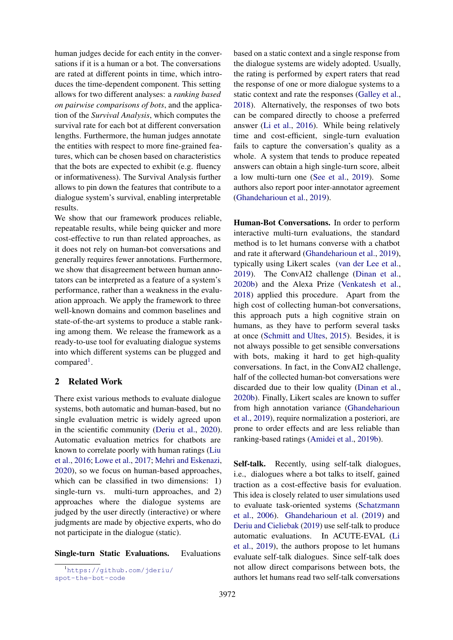human judges decide for each entity in the conversations if it is a human or a bot. The conversations are rated at different points in time, which introduces the time-dependent component. This setting allows for two different analyses: a *ranking based on pairwise comparisons of bots*, and the application of the *Survival Analysis*, which computes the survival rate for each bot at different conversation lengths. Furthermore, the human judges annotate the entities with respect to more fine-grained features, which can be chosen based on characteristics that the bots are expected to exhibit (e.g. fluency or informativeness). The Survival Analysis further allows to pin down the features that contribute to a dialogue system's survival, enabling interpretable results.

We show that our framework produces reliable, repeatable results, while being quicker and more cost-effective to run than related approaches, as it does not rely on human-bot conversations and generally requires fewer annotations. Furthermore, we show that disagreement between human annotators can be interpreted as a feature of a system's performance, rather than a weakness in the evaluation approach. We apply the framework to three well-known domains and common baselines and state-of-the-art systems to produce a stable ranking among them. We release the framework as a ready-to-use tool for evaluating dialogue systems into which different systems can be plugged and compared<sup>[1](#page-1-0)</sup>.

# 2 Related Work

There exist various methods to evaluate dialogue systems, both automatic and human-based, but no single evaluation metric is widely agreed upon in the scientific community [\(Deriu et al.,](#page-9-4) [2020\)](#page-9-4). Automatic evaluation metrics for chatbots are known to correlate poorly with human ratings [\(Liu](#page-9-0) [et al.,](#page-9-0) [2016;](#page-9-0) [Lowe et al.,](#page-9-1) [2017;](#page-9-1) [Mehri and Eskenazi,](#page-9-2) [2020\)](#page-9-2), so we focus on human-based approaches, which can be classified in two dimensions: 1) single-turn vs. multi-turn approaches, and 2) approaches where the dialogue systems are judged by the user directly (interactive) or where judgments are made by objective experts, who do not participate in the dialogue (static).

Single-turn Static Evaluations. Evaluations

<span id="page-1-0"></span><sup>1</sup>[https://github.com/jderiu/](https://github.com/jderiu/spot-the-bot-code) [spot-the-bot-code](https://github.com/jderiu/spot-the-bot-code)

based on a static context and a single response from the dialogue systems are widely adopted. Usually, the rating is performed by expert raters that read the response of one or more dialogue systems to a static context and rate the responses [\(Galley et al.,](#page-9-5) [2018\)](#page-9-5). Alternatively, the responses of two bots can be compared directly to choose a preferred answer [\(Li et al.,](#page-9-6) [2016\)](#page-9-6). While being relatively time and cost-efficient, single-turn evaluation fails to capture the conversation's quality as a whole. A system that tends to produce repeated answers can obtain a high single-turn score, albeit a low multi-turn one [\(See et al.,](#page-10-0) [2019\)](#page-10-0). Some authors also report poor inter-annotator agreement [\(Ghandeharioun et al.,](#page-9-7) [2019\)](#page-9-7).

Human-Bot Conversations. In order to perform interactive multi-turn evaluations, the standard method is to let humans converse with a chatbot and rate it afterward [\(Ghandeharioun et al.,](#page-9-7) [2019\)](#page-9-7), typically using Likert scales [\(van der Lee et al.,](#page-9-8) [2019\)](#page-9-8). The ConvAI2 challenge [\(Dinan et al.,](#page-9-9) [2020b\)](#page-9-9) and the Alexa Prize [\(Venkatesh et al.,](#page-10-1) [2018\)](#page-10-1) applied this procedure. Apart from the high cost of collecting human-bot conversations, this approach puts a high cognitive strain on humans, as they have to perform several tasks at once [\(Schmitt and Ultes,](#page-10-2) [2015\)](#page-10-2). Besides, it is not always possible to get sensible conversations with bots, making it hard to get high-quality conversations. In fact, in the ConvAI2 challenge, half of the collected human-bot conversations were discarded due to their low quality [\(Dinan et al.,](#page-9-9) [2020b\)](#page-9-9). Finally, Likert scales are known to suffer from high annotation variance [\(Ghandeharioun](#page-9-7) [et al.,](#page-9-7) [2019\)](#page-9-7), require normalization a posteriori, are prone to order effects and are less reliable than ranking-based ratings [\(Amidei et al.,](#page-8-1) [2019b\)](#page-8-1).

Self-talk. Recently, using self-talk dialogues, i.e., dialogues where a bot talks to itself, gained traction as a cost-effective basis for evaluation. This idea is closely related to user simulations used to evaluate task-oriented systems [\(Schatzmann](#page-10-3) [et al.,](#page-10-3) [2006\)](#page-10-3). [Ghandeharioun et al.](#page-9-7) [\(2019\)](#page-9-7) and [Deriu and Cieliebak](#page-8-2) [\(2019\)](#page-8-2) use self-talk to produce automatic evaluations. In ACUTE-EVAL [\(Li](#page-9-10) [et al.,](#page-9-10) [2019\)](#page-9-10), the authors propose to let humans evaluate self-talk dialogues. Since self-talk does not allow direct comparisons between bots, the authors let humans read two self-talk conversations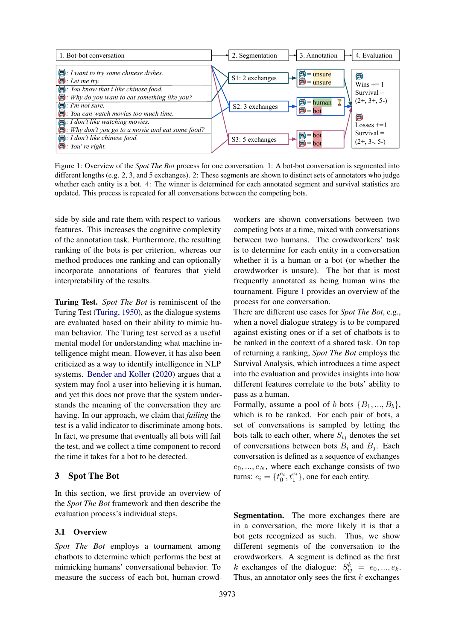<span id="page-2-0"></span>

Figure 1: Overview of the *Spot The Bot* process for one conversation. 1: A bot-bot conversation is segmented into different lengths (e.g. 2, 3, and 5 exchanges). 2: These segments are shown to distinct sets of annotators who judge whether each entity is a bot. 4: The winner is determined for each annotated segment and survival statistics are updated. This process is repeated for all conversations between the competing bots.

side-by-side and rate them with respect to various features. This increases the cognitive complexity of the annotation task. Furthermore, the resulting ranking of the bots is per criterion, whereas our method produces one ranking and can optionally incorporate annotations of features that yield interpretability of the results.

Turing Test. *Spot The Bot* is reminiscent of the Turing Test [\(Turing,](#page-10-4) [1950\)](#page-10-4), as the dialogue systems are evaluated based on their ability to mimic human behavior. The Turing test served as a useful mental model for understanding what machine intelligence might mean. However, it has also been criticized as a way to identify intelligence in NLP systems. [Bender and Koller](#page-8-3) [\(2020\)](#page-8-3) argues that a system may fool a user into believing it is human, and yet this does not prove that the system understands the meaning of the conversation they are having. In our approach, we claim that *failing* the test is a valid indicator to discriminate among bots. In fact, we presume that eventually all bots will fail the test, and we collect a time component to record the time it takes for a bot to be detected.

# 3 Spot The Bot

In this section, we first provide an overview of the *Spot The Bot* framework and then describe the evaluation process's individual steps.

#### <span id="page-2-1"></span>3.1 Overview

*Spot The Bot* employs a tournament among chatbots to determine which performs the best at mimicking humans' conversational behavior. To measure the success of each bot, human crowdworkers are shown conversations between two competing bots at a time, mixed with conversations between two humans. The crowdworkers' task is to determine for each entity in a conversation whether it is a human or a bot (or whether the crowdworker is unsure). The bot that is most frequently annotated as being human wins the tournament. Figure [1](#page-2-0) provides an overview of the process for one conversation.

There are different use cases for *Spot The Bot*, e.g., when a novel dialogue strategy is to be compared against existing ones or if a set of chatbots is to be ranked in the context of a shared task. On top of returning a ranking, *Spot The Bot* employs the Survival Analysis, which introduces a time aspect into the evaluation and provides insights into how different features correlate to the bots' ability to pass as a human.

Formally, assume a pool of b bots  $\{B_1, ..., B_b\}$ , which is to be ranked. For each pair of bots, a set of conversations is sampled by letting the bots talk to each other, where  $S_{ij}$  denotes the set of conversations between bots  $B_i$  and  $B_j$ . Each conversation is defined as a sequence of exchanges  $e_0, ..., e_N$ , where each exchange consists of two turns:  $e_i = \{t_0^{e_i}, t_1^{e_i}\}$ , one for each entity.

Segmentation. The more exchanges there are in a conversation, the more likely it is that a bot gets recognized as such. Thus, we show different segments of the conversation to the crowdworkers. A segment is defined as the first k exchanges of the dialogue:  $S_{ij}^k = e_0, ..., e_k$ . Thus, an annotator only sees the first  $k$  exchanges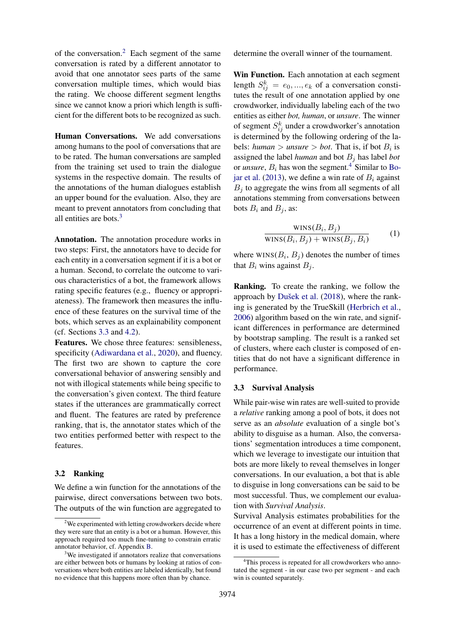of the conversation.[2](#page-3-0) Each segment of the same conversation is rated by a different annotator to avoid that one annotator sees parts of the same conversation multiple times, which would bias the rating. We choose different segment lengths since we cannot know a priori which length is sufficient for the different bots to be recognized as such.

Human Conversations. We add conversations among humans to the pool of conversations that are to be rated. The human conversations are sampled from the training set used to train the dialogue systems in the respective domain. The results of the annotations of the human dialogues establish an upper bound for the evaluation. Also, they are meant to prevent annotators from concluding that all entities are bots. $3$ 

Annotation. The annotation procedure works in two steps: First, the annotators have to decide for each entity in a conversation segment if it is a bot or a human. Second, to correlate the outcome to various characteristics of a bot, the framework allows rating specific features (e.g., fluency or appropriateness). The framework then measures the influence of these features on the survival time of the bots, which serves as an explainability component (cf. Sections [3.3](#page-3-2) and [4.2\)](#page-5-0).

Features. We chose three features: sensibleness, specificity [\(Adiwardana et al.,](#page-8-4) [2020\)](#page-8-4), and fluency. The first two are shown to capture the core conversational behavior of answering sensibly and not with illogical statements while being specific to the conversation's given context. The third feature states if the utterances are grammatically correct and fluent. The features are rated by preference ranking, that is, the annotator states which of the two entities performed better with respect to the features.

#### 3.2 Ranking

We define a win function for the annotations of the pairwise, direct conversations between two bots. The outputs of the win function are aggregated to determine the overall winner of the tournament.

Win Function. Each annotation at each segment length  $S_{ij}^k = e_0, ..., e_k$  of a conversation constitutes the result of one annotation applied by one crowdworker, individually labeling each of the two entities as either *bot, human*, or *unsure*. The winner of segment  $S_{ij}^k$  under a crowdworker's annotation is determined by the following ordering of the labels: *human*  $>$  *unsure*  $>$  *bot*. That is, if bot  $B_i$  is assigned the label *human* and bot  $B_j$  has label *bot* or *unsure*,  $B_i$  has won the segment.<sup>[4](#page-3-3)</sup> Similar to [Bo](#page-8-5)[jar et al.](#page-8-5) [\(2013\)](#page-8-5), we define a win rate of  $B_i$  against  $B_i$  to aggregate the wins from all segments of all annotations stemming from conversations between bots  $B_i$  and  $B_j$ , as:

<span id="page-3-4"></span>
$$
\frac{\text{WINS}(B_i, B_j)}{\text{WINS}(B_i, B_j) + \text{WINS}(B_j, B_i)} \tag{1}
$$

where  $WINS(B_i, B_j)$  denotes the number of times that  $B_i$  wins against  $B_i$ .

Ranking. To create the ranking, we follow the approach by Dušek et al. [\(2018\)](#page-9-11), where the ranking is generated by the TrueSkill [\(Herbrich et al.,](#page-9-12) [2006\)](#page-9-12) algorithm based on the win rate, and significant differences in performance are determined by bootstrap sampling. The result is a ranked set of clusters, where each cluster is composed of entities that do not have a significant difference in performance.

# <span id="page-3-2"></span>3.3 Survival Analysis

While pair-wise win rates are well-suited to provide a *relative* ranking among a pool of bots, it does not serve as an *absolute* evaluation of a single bot's ability to disguise as a human. Also, the conversations' segmentation introduces a time component, which we leverage to investigate our intuition that bots are more likely to reveal themselves in longer conversations. In our evaluation, a bot that is able to disguise in long conversations can be said to be most successful. Thus, we complement our evaluation with *Survival Analysis*.

Survival Analysis estimates probabilities for the occurrence of an event at different points in time. It has a long history in the medical domain, where it is used to estimate the effectiveness of different

<span id="page-3-0"></span><sup>&</sup>lt;sup>2</sup>We experimented with letting crowdworkers decide where they were sure that an entity is a bot or a human. However, this approach required too much fine-tuning to constrain erratic annotator behavior, cf. Appendix [B.](#page-11-0)

<span id="page-3-1"></span><sup>&</sup>lt;sup>3</sup>We investigated if annotators realize that conversations are either between bots or humans by looking at ratios of conversations where both entities are labeled identically, but found no evidence that this happens more often than by chance.

<span id="page-3-3"></span><sup>&</sup>lt;sup>4</sup>This process is repeated for all crowdworkers who annotated the segment - in our case two per segment - and each win is counted separately.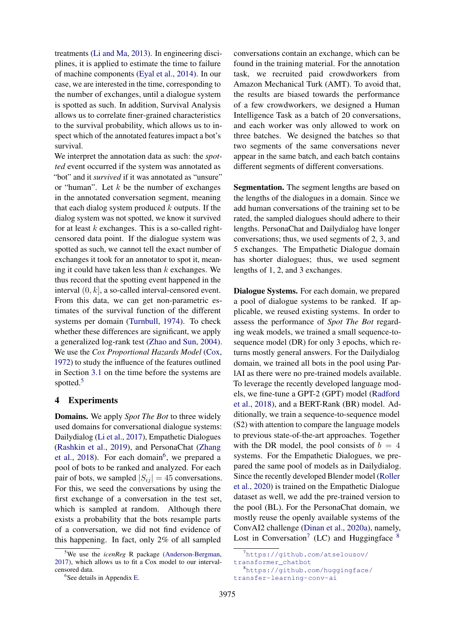treatments [\(Li and Ma,](#page-9-13) [2013\)](#page-9-13). In engineering disciplines, it is applied to estimate the time to failure of machine components [\(Eyal et al.,](#page-9-14) [2014\)](#page-9-14). In our case, we are interested in the time, corresponding to the number of exchanges, until a dialogue system is spotted as such. In addition, Survival Analysis allows us to correlate finer-grained characteristics to the survival probability, which allows us to inspect which of the annotated features impact a bot's survival.

We interpret the annotation data as such: the *spotted* event occurred if the system was annotated as "bot" and it *survived* if it was annotated as "unsure" or "human". Let  $k$  be the number of exchanges in the annotated conversation segment, meaning that each dialog system produced  $k$  outputs. If the dialog system was not spotted, we know it survived for at least  $k$  exchanges. This is a so-called rightcensored data point. If the dialogue system was spotted as such, we cannot tell the exact number of exchanges it took for an annotator to spot it, meaning it could have taken less than  $k$  exchanges. We thus record that the spotting event happened in the interval  $(0, k]$ , a so-called interval-censored event. From this data, we can get non-parametric estimates of the survival function of the different systems per domain [\(Turnbull,](#page-10-5) [1974\)](#page-10-5). To check whether these differences are significant, we apply a generalized log-rank test [\(Zhao and Sun,](#page-10-6) [2004\)](#page-10-6). We use the *Cox Proportional Hazards Model* [\(Cox,](#page-8-6) [1972\)](#page-8-6) to study the influence of the features outlined in Section [3.1](#page-2-1) on the time before the systems are spotted.<sup>[5](#page-4-0)</sup>

# 4 Experiments

Domains. We apply *Spot The Bot* to three widely used domains for conversational dialogue systems: Dailydialog [\(Li et al.,](#page-9-15) [2017\)](#page-9-15), Empathetic Dialogues [\(Rashkin et al.,](#page-10-7) [2019\)](#page-10-7), and PersonaChat [\(Zhang](#page-10-8) [et al.,](#page-10-8) [2018\)](#page-10-8). For each domain<sup>[6](#page-4-1)</sup>, we prepared a pool of bots to be ranked and analyzed. For each pair of bots, we sampled  $|S_{ij}| = 45$  conversations. For this, we seed the conversations by using the first exchange of a conversation in the test set, which is sampled at random. Although there exists a probability that the bots resample parts of a conversation, we did not find evidence of this happening. In fact, only 2% of all sampled

conversations contain an exchange, which can be found in the training material. For the annotation task, we recruited paid crowdworkers from Amazon Mechanical Turk (AMT). To avoid that, the results are biased towards the performance of a few crowdworkers, we designed a Human Intelligence Task as a batch of 20 conversations, and each worker was only allowed to work on three batches. We designed the batches so that two segments of the same conversations never appear in the same batch, and each batch contains different segments of different conversations.

Segmentation. The segment lengths are based on the lengths of the dialogues in a domain. Since we add human conversations of the training set to be rated, the sampled dialogues should adhere to their lengths. PersonaChat and Dailydialog have longer conversations; thus, we used segments of 2, 3, and 5 exchanges. The Empathetic Dialogue domain has shorter dialogues; thus, we used segment lengths of 1, 2, and 3 exchanges.

Dialogue Systems. For each domain, we prepared a pool of dialogue systems to be ranked. If applicable, we reused existing systems. In order to assess the performance of *Spot The Bot* regarding weak models, we trained a small sequence-tosequence model (DR) for only 3 epochs, which returns mostly general answers. For the Dailydialog domain, we trained all bots in the pool using ParlAI as there were no pre-trained models available. To leverage the recently developed language models, we fine-tune a GPT-2 (GPT) model [\(Radford](#page-9-16) [et al.,](#page-9-16) [2018\)](#page-9-16), and a BERT-Rank (BR) model. Additionally, we train a sequence-to-sequence model (S2) with attention to compare the language models to previous state-of-the-art approaches. Together with the DR model, the pool consists of  $b = 4$ systems. For the Empathetic Dialogues, we prepared the same pool of models as in Dailydialog. Since the recently developed Blender model [\(Roller](#page-10-9) [et al.,](#page-10-9) [2020\)](#page-10-9) is trained on the Empathetic Dialogue dataset as well, we add the pre-trained version to the pool (BL). For the PersonaChat domain, we mostly reuse the openly available systems of the ConvAI2 challenge [\(Dinan et al.,](#page-9-3) [2020a\)](#page-9-3), namely, Lost in Conversation<sup>[7](#page-4-2)</sup> (LC) and Huggingface  $8$ 

<span id="page-4-3"></span><sup>8</sup>[https://github.com/huggingface/](https://github.com/huggingface/transfer-learning-conv-ai) [transfer-learning-conv-ai](https://github.com/huggingface/transfer-learning-conv-ai)

<span id="page-4-0"></span><sup>&</sup>lt;sup>5</sup>We use the *icenReg* R package [\(Anderson-Bergman,](#page-8-7) [2017\)](#page-8-7), which allows us to fit a Cox model to our intervalcensored data.

<span id="page-4-1"></span><sup>6</sup> See details in Appendix [E.](#page-12-0)

<span id="page-4-2"></span><sup>7</sup>[https://github.com/atselousov/](https://github.com/atselousov/transformer_chatbot) [transformer\\_chatbot](https://github.com/atselousov/transformer_chatbot)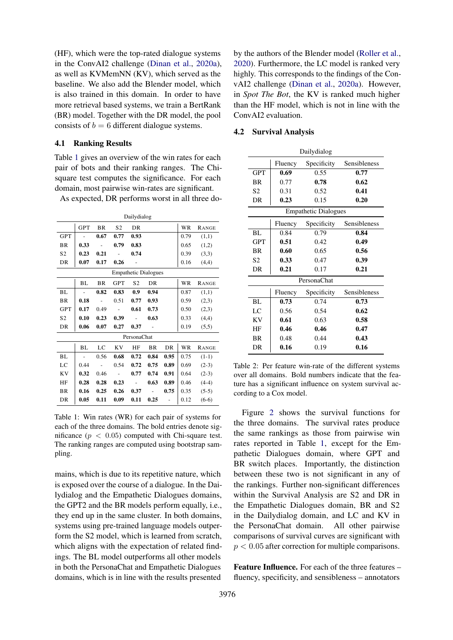(HF), which were the top-rated dialogue systems in the ConvAI2 challenge [\(Dinan et al.,](#page-9-3) [2020a\)](#page-9-3), as well as KVMemNN (KV), which served as the baseline. We also add the Blender model, which is also trained in this domain. In order to have more retrieval based systems, we train a BertRank (BR) model. Together with the DR model, the pool consists of  $b = 6$  different dialogue systems.

#### 4.1 Ranking Results

Table [1](#page-5-1) gives an overview of the win rates for each pair of bots and their ranking ranges. The Chisquare test computes the significance. For each domain, most pairwise win-rates are significant.

As expected, DR performs worst in all three do-

<span id="page-5-1"></span>

|                |                          |           |                | Dailydialog                 |           |      |      |              |
|----------------|--------------------------|-----------|----------------|-----------------------------|-----------|------|------|--------------|
|                | <b>GPT</b>               | <b>BR</b> | S <sub>2</sub> | DR                          |           |      | WR   | RANGE        |
| <b>GPT</b>     |                          | 0.67      | 0.77           | 0.93                        |           |      | 0.79 | (1,1)        |
| <b>BR</b>      | 0.33                     |           | 0.79           | 0.83                        |           |      | 0.65 | (1,2)        |
| S <sub>2</sub> | 0.23                     | 0.21      |                | 0.74                        |           |      | 0.39 | (3,3)        |
| DR             | 0.07                     | 0.17      | 0.26           |                             |           |      | 0.16 | (4,4)        |
|                |                          |           |                | <b>Empathetic Dialogues</b> |           |      |      |              |
|                | BL                       | <b>BR</b> | <b>GPT</b>     | S <sub>2</sub>              | DR        |      | WR   | <b>RANGE</b> |
| BL             |                          | 0.82      | 0.83           | 0.9                         | 0.94      |      | 0.87 | (1,1)        |
| <b>BR</b>      | 0.18                     | $\sim$    | 0.51           | 0.77                        | 0.93      |      | 0.59 | (2,3)        |
| <b>GPT</b>     | 0.17                     | 0.49      |                | 0.61                        | 0.73      |      | 0.50 | (2,3)        |
| S <sub>2</sub> | 0.10                     | 0.23      | 0.39           |                             | 0.63      |      | 0.33 | (4,4)        |
| DR             | 0.06                     | 0.07      | 0.27           | 0.37                        |           |      | 0.19 | (5,5)        |
|                |                          |           |                | PersonaChat                 |           |      |      |              |
|                | BL                       | LC        | <b>KV</b>      | HF                          | <b>BR</b> | DR   | WR   | <b>RANGE</b> |
| BL             | $\overline{\phantom{a}}$ | 0.56      | 0.68           | 0.72                        | 0.84      | 0.95 | 0.75 | $(1-1)$      |
| LC             | 0.44                     |           | 0.54           | 0.72                        | 0.75      | 0.89 | 0.69 | $(2-3)$      |
| <b>KV</b>      | 0.32                     | 0.46      |                | 0.77                        | 0.74      | 0.91 | 0.64 | $(2-3)$      |
| HF             | 0.28                     | 0.28      | 0.23           | $\overline{a}$              | 0.63      | 0.89 | 0.46 | $(4-4)$      |
| BR             | 0.16                     | 0.25      | 0.26           | 0.37                        |           | 0.75 | 0.35 | $(5-5)$      |
| DR             | 0.05                     | 0.11      | 0.09           | 0.11                        | 0.25      |      | 0.12 | $(6-6)$      |

Table 1: Win rates (WR) for each pair of systems for each of the three domains. The bold entries denote significance ( $p < 0.05$ ) computed with Chi-square test. The ranking ranges are computed using bootstrap sampling.

mains, which is due to its repetitive nature, which is exposed over the course of a dialogue. In the Dailydialog and the Empathetic Dialogues domains, the GPT2 and the BR models perform equally, i.e., they end up in the same cluster. In both domains, systems using pre-trained language models outperform the S2 model, which is learned from scratch, which aligns with the expectation of related findings. The BL model outperforms all other models in both the PersonaChat and Empathetic Dialogues domains, which is in line with the results presented

by the authors of the Blender model [\(Roller et al.,](#page-10-9) [2020\)](#page-10-9). Furthermore, the LC model is ranked very highly. This corresponds to the findings of the ConvAI2 challenge [\(Dinan et al.,](#page-9-3) [2020a\)](#page-9-3). However, in *Spot The Bot*, the KV is ranked much higher than the HF model, which is not in line with the ConvAI2 evaluation.

#### <span id="page-5-2"></span><span id="page-5-0"></span>4.2 Survival Analysis

|            | Dailydialog |                             |              |  |  |  |  |  |  |
|------------|-------------|-----------------------------|--------------|--|--|--|--|--|--|
|            | Fluency     | Specificity                 | Sensibleness |  |  |  |  |  |  |
| <b>GPT</b> | 0.69        | 0.55                        | 0.77         |  |  |  |  |  |  |
| <b>BR</b>  | 0.77        | 0.78                        | 0.62         |  |  |  |  |  |  |
| S2         | 0.31        | 0.52                        | 0.41         |  |  |  |  |  |  |
| DR         | 0.23        | 0.15                        | 0.20         |  |  |  |  |  |  |
|            |             | <b>Empathetic Dialogues</b> |              |  |  |  |  |  |  |
|            | Fluency     | Specificity                 | Sensibleness |  |  |  |  |  |  |
| BL.        | 0.84        | 0.79                        | 0.84         |  |  |  |  |  |  |
| <b>GPT</b> | 0.51        | 0.42                        | 0.49         |  |  |  |  |  |  |
| <b>BR</b>  | 0.60        | 0.65                        | 0.56         |  |  |  |  |  |  |
| S2         | 0.33        | 0.47                        | 0.39         |  |  |  |  |  |  |
| DR         | 0.21        | 0.17                        | 0.21         |  |  |  |  |  |  |
|            |             | PersonaChat                 |              |  |  |  |  |  |  |
|            | Fluency     | Specificity                 | Sensibleness |  |  |  |  |  |  |
| BL.        | 0.73        | 0.74                        | 0.73         |  |  |  |  |  |  |
| LC         | 0.56        | 0.54                        | 0.62         |  |  |  |  |  |  |
| KV         | 0.61        | 0.63                        | 0.58         |  |  |  |  |  |  |
| ΗF         | 0.46        | 0.46                        | 0.47         |  |  |  |  |  |  |
| <b>BR</b>  | 0.48        | 0.44                        | 0.43         |  |  |  |  |  |  |
| DR         | 0.16        | 0.19                        | 0.16         |  |  |  |  |  |  |

Table 2: Per feature win-rate of the different systems over all domains. Bold numbers indicate that the feature has a significant influence on system survival according to a Cox model.

Figure [2](#page-6-0) shows the survival functions for the three domains. The survival rates produce the same rankings as those from pairwise win rates reported in Table [1,](#page-5-1) except for the Empathetic Dialogues domain, where GPT and BR switch places. Importantly, the distinction between these two is not significant in any of the rankings. Further non-significant differences within the Survival Analysis are S2 and DR in the Empathetic Dialogues domain, BR and S2 in the Dailydialog domain, and LC and KV in the PersonaChat domain. All other pairwise comparisons of survival curves are significant with  $p < 0.05$  after correction for multiple comparisons.

Feature Influence. For each of the three features – fluency, specificity, and sensibleness – annotators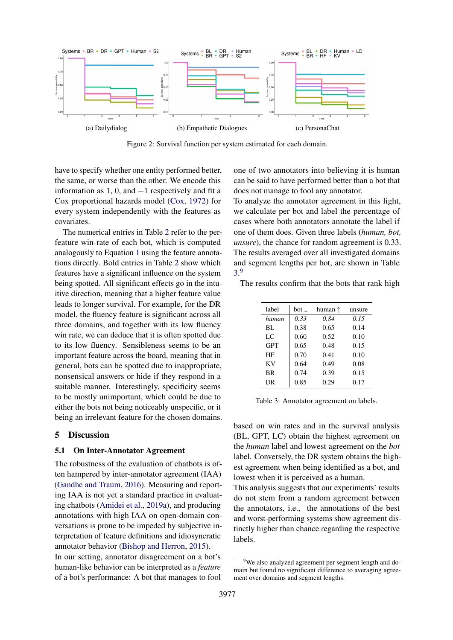<span id="page-6-0"></span>

Figure 2: Survival function per system estimated for each domain.

have to specify whether one entity performed better, the same, or worse than the other. We encode this information as 1, 0, and  $-1$  respectively and fit a Cox proportional hazards model [\(Cox,](#page-8-6) [1972\)](#page-8-6) for every system independently with the features as covariates.

The numerical entries in Table [2](#page-5-2) refer to the perfeature win-rate of each bot, which is computed analogously to Equation [1](#page-3-4) using the feature annotations directly. Bold entries in Table [2](#page-5-2) show which features have a significant influence on the system being spotted. All significant effects go in the intuitive direction, meaning that a higher feature value leads to longer survival. For example, for the DR model, the fluency feature is significant across all three domains, and together with its low fluency win rate, we can deduce that it is often spotted due to its low fluency. Sensibleness seems to be an important feature across the board, meaning that in general, bots can be spotted due to inappropriate, nonsensical answers or hide if they respond in a suitable manner. Interestingly, specificity seems to be mostly unimportant, which could be due to either the bots not being noticeably unspecific, or it being an irrelevant feature for the chosen domains.

#### 5 Discussion

## 5.1 On Inter-Annotator Agreement

The robustness of the evaluation of chatbots is often hampered by inter-annotator agreement (IAA) [\(Gandhe and Traum,](#page-9-17) [2016\)](#page-9-17). Measuring and reporting IAA is not yet a standard practice in evaluating chatbots [\(Amidei et al.,](#page-8-0) [2019a\)](#page-8-0), and producing annotations with high IAA on open-domain conversations is prone to be impeded by subjective interpretation of feature definitions and idiosyncratic annotator behavior [\(Bishop and Herron,](#page-8-8) [2015\)](#page-8-8). In our setting, annotator disagreement on a bot's human-like behavior can be interpreted as a *feature* of a bot's performance: A bot that manages to fool

one of two annotators into believing it is human can be said to have performed better than a bot that does not manage to fool any annotator.

To analyze the annotator agreement in this light, we calculate per bot and label the percentage of cases where both annotators annotate the label if one of them does. Given three labels (*human, bot, unsure*), the chance for random agreement is 0.33. The results averaged over all investigated domains and segment lengths per bot, are shown in Table [3.](#page-6-1) [9](#page-6-2)

<span id="page-6-1"></span>The results confirm that the bots that rank high

| label      | bot ↓ | human ↑ | unsure |
|------------|-------|---------|--------|
| human      | 0.33  | 0.84    | 0.15   |
| BL.        | 0.38  | 0.65    | 0.14   |
| LC         | 0.60  | 0.52    | 0.10   |
| <b>GPT</b> | 0.65  | 0.48    | 0.15   |
| HF         | 0.70  | 0.41    | 0.10   |
| KV         | 0.64  | 0.49    | 0.08   |
| <b>BR</b>  | 0.74  | 0.39    | 0.15   |
| DR         | 0.85  | 0.29    | 0.17   |
|            |       |         |        |

Table 3: Annotator agreement on labels.

based on win rates and in the survival analysis (BL, GPT, LC) obtain the highest agreement on the *human* label and lowest agreement on the *bot* label. Conversely, the DR system obtains the highest agreement when being identified as a bot, and lowest when it is perceived as a human.

This analysis suggests that our experiments' results do not stem from a random agreement between the annotators, i.e., the annotations of the best and worst-performing systems show agreement distinctly higher than chance regarding the respective labels.

<span id="page-6-2"></span><sup>&</sup>lt;sup>9</sup>We also analyzed agreement per segment length and domain but found no significant difference to averaging agreement over domains and segment lengths.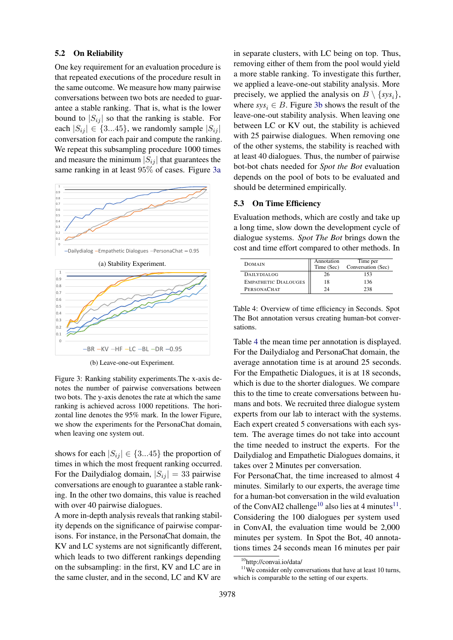## 5.2 On Reliability

One key requirement for an evaluation procedure is that repeated executions of the procedure result in the same outcome. We measure how many pairwise conversations between two bots are needed to guarantee a stable ranking. That is, what is the lower bound to  $|S_{ij}|$  so that the ranking is stable. For each  $|S_{ij}| \in \{3...45\}$ , we randomly sample  $|S_{ij}|$ conversation for each pair and compute the ranking. We repeat this subsampling procedure 1000 times and measure the minimum  $|S_{ij}|$  that guarantees the same ranking in at least 95% of cases. Figure [3a](#page-7-0)

<span id="page-7-0"></span>



(b) Leave-one-out Experiment.

Figure 3: Ranking stability experiments.The x-axis denotes the number of pairwise conversations between two bots. The y-axis denotes the rate at which the same ranking is achieved across 1000 repetitions. The horizontal line denotes the 95% mark. In the lower Figure, we show the experiments for the PersonaChat domain, when leaving one system out.

shows for each  $|S_{ij}| \in \{3...45\}$  the proportion of times in which the most frequent ranking occurred. For the Dailydialog domain,  $|S_{ij}| = 33$  pairwise conversations are enough to guarantee a stable ranking. In the other two domains, this value is reached with over 40 pairwise dialogues.

A more in-depth analysis reveals that ranking stability depends on the significance of pairwise comparisons. For instance, in the PersonaChat domain, the KV and LC systems are not significantly different, which leads to two different rankings depending on the subsampling: in the first, KV and LC are in the same cluster, and in the second, LC and KV are

in separate clusters, with LC being on top. Thus, removing either of them from the pool would yield a more stable ranking. To investigate this further, we applied a leave-one-out stability analysis. More precisely, we applied the analysis on  $B \setminus \{sys_i\},\$ where  $sys_i \in B$ . Figure [3b](#page-7-0) shows the result of the leave-one-out stability analysis. When leaving one between LC or KV out, the stability is achieved with 25 pairwise dialogues. When removing one of the other systems, the stability is reached with at least 40 dialogues. Thus, the number of pairwise bot-bot chats needed for *Spot the Bot* evaluation depends on the pool of bots to be evaluated and should be determined empirically.

# 5.3 On Time Efficiency

Evaluation methods, which are costly and take up a long time, slow down the development cycle of dialogue systems. *Spot The Bot* brings down the cost and time effort compared to other methods. In

<span id="page-7-1"></span>

| <b>DOMAIN</b>               | Annotation<br>Time (Sec) | Time per<br>Conversation (Sec) |
|-----------------------------|--------------------------|--------------------------------|
| DAILYDIALOG                 | 26                       | 153                            |
| <b>EMPATHETIC DIALOUGES</b> | 18                       | 136                            |
| PERSONACHAT                 | 24                       | 238                            |

Table 4: Overview of time efficiency in Seconds. Spot The Bot annotation versus creating human-bot conversations.

Table [4](#page-7-1) the mean time per annotation is displayed. For the Dailydialog and PersonaChat domain, the average annotation time is at around 25 seconds. For the Empathetic Dialogues, it is at 18 seconds, which is due to the shorter dialogues. We compare this to the time to create conversations between humans and bots. We recruited three dialogue system experts from our lab to interact with the systems. Each expert created 5 conversations with each system. The average times do not take into account the time needed to instruct the experts. For the Dailydialog and Empathetic Dialogues domains, it takes over 2 Minutes per conversation.

For PersonaChat, the time increased to almost 4 minutes. Similarly to our experts, the average time for a human-bot conversation in the wild evaluation of the ConvAI2 challenge<sup>[10](#page-7-2)</sup> also lies at 4 minutes<sup>[11](#page-7-3)</sup>. Considering the 100 dialogues per system used in ConvAI, the evaluation time would be 2,000 minutes per system. In Spot the Bot, 40 annotations times 24 seconds mean 16 minutes per pair

 $11$ We consider only conversations that have at least 10 turns, which is comparable to the setting of our experts.

<span id="page-7-3"></span><span id="page-7-2"></span><sup>10</sup>http://convai.io/data/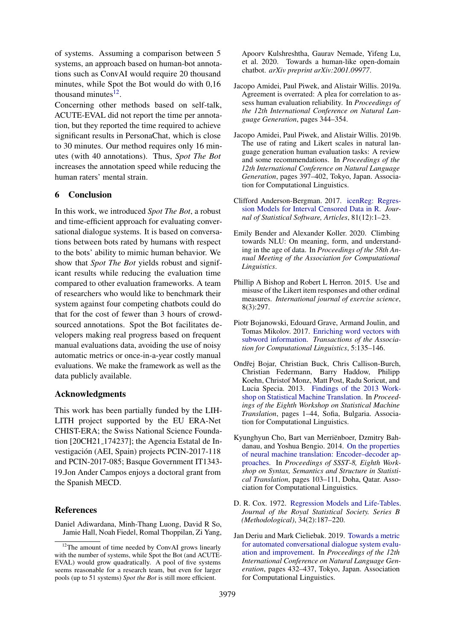of systems. Assuming a comparison between 5 systems, an approach based on human-bot annotations such as ConvAI would require 20 thousand minutes, while Spot the Bot would do with 0,16 thousand minutes $12$ .

Concerning other methods based on self-talk, ACUTE-EVAL did not report the time per annotation, but they reported the time required to achieve significant results in PersonaChat, which is close to 30 minutes. Our method requires only 16 minutes (with 40 annotations). Thus, *Spot The Bot* increases the annotation speed while reducing the human raters' mental strain.

# 6 Conclusion

In this work, we introduced *Spot The Bot*, a robust and time-efficient approach for evaluating conversational dialogue systems. It is based on conversations between bots rated by humans with respect to the bots' ability to mimic human behavior. We show that *Spot The Bot* yields robust and significant results while reducing the evaluation time compared to other evaluation frameworks. A team of researchers who would like to benchmark their system against four competing chatbots could do that for the cost of fewer than 3 hours of crowdsourced annotations. Spot the Bot facilitates developers making real progress based on frequent manual evaluations data, avoiding the use of noisy automatic metrics or once-in-a-year costly manual evaluations. We make the framework as well as the data publicly available.

# Acknowledgments

This work has been partially funded by the LIH-LITH project supported by the EU ERA-Net CHIST-ERA; the Swiss National Science Foundation [20CH21 174237]; the Agencia Estatal de Investigacion (AEI, Spain) projects PCIN-2017-118 ´ and PCIN-2017-085; Basque Government IT1343- 19.Jon Ander Campos enjoys a doctoral grant from the Spanish MECD.

# **References**

<span id="page-8-4"></span>Daniel Adiwardana, Minh-Thang Luong, David R So, Jamie Hall, Noah Fiedel, Romal Thoppilan, Zi Yang, Apoorv Kulshreshtha, Gaurav Nemade, Yifeng Lu, et al. 2020. Towards a human-like open-domain chatbot. *arXiv preprint arXiv:2001.09977*.

- <span id="page-8-0"></span>Jacopo Amidei, Paul Piwek, and Alistair Willis. 2019a. Agreement is overrated: A plea for correlation to assess human evaluation reliability. In *Proceedings of the 12th International Conference on Natural Language Generation*, pages 344–354.
- <span id="page-8-1"></span>Jacopo Amidei, Paul Piwek, and Alistair Willis. 2019b. The use of rating and Likert scales in natural language generation human evaluation tasks: A review and some recommendations. In *Proceedings of the 12th International Conference on Natural Language Generation*, pages 397–402, Tokyo, Japan. Association for Computational Linguistics.
- <span id="page-8-7"></span>Clifford Anderson-Bergman. 2017. [icenReg: Regres](https://doi.org/10.18637/jss.v081.i12)[sion Models for Interval Censored Data in R.](https://doi.org/10.18637/jss.v081.i12) *Journal of Statistical Software, Articles*, 81(12):1–23.
- <span id="page-8-3"></span>Emily Bender and Alexander Koller. 2020. Climbing towards NLU: On meaning, form, and understanding in the age of data. In *Proceedings of the 58th Annual Meeting of the Association for Computational Linguistics*.
- <span id="page-8-8"></span>Phillip A Bishop and Robert L Herron. 2015. Use and misuse of the Likert item responses and other ordinal measures. *International journal of exercise science*, 8(3):297.
- <span id="page-8-11"></span>Piotr Bojanowski, Edouard Grave, Armand Joulin, and Tomas Mikolov. 2017. [Enriching word vectors with](https://doi.org/10.1162/tacl_a_00051) [subword information.](https://doi.org/10.1162/tacl_a_00051) *Transactions of the Association for Computational Linguistics*, 5:135–146.
- <span id="page-8-5"></span>Ondřej Bojar, Christian Buck, Chris Callison-Burch, Christian Federmann, Barry Haddow, Philipp Koehn, Christof Monz, Matt Post, Radu Soricut, and Lucia Specia. 2013. [Findings of the 2013 Work](https://www.aclweb.org/anthology/W13-2201)[shop on Statistical Machine Translation.](https://www.aclweb.org/anthology/W13-2201) In *Proceedings of the Eighth Workshop on Statistical Machine Translation*, pages 1–44, Sofia, Bulgaria. Association for Computational Linguistics.
- <span id="page-8-10"></span>Kyunghyun Cho, Bart van Merrienboer, Dzmitry Bah- ¨ danau, and Yoshua Bengio. 2014. [On the properties](https://doi.org/10.3115/v1/W14-4012) [of neural machine translation: Encoder–decoder ap](https://doi.org/10.3115/v1/W14-4012)[proaches.](https://doi.org/10.3115/v1/W14-4012) In *Proceedings of SSST-8, Eighth Workshop on Syntax, Semantics and Structure in Statistical Translation*, pages 103–111, Doha, Qatar. Association for Computational Linguistics.
- <span id="page-8-6"></span>D. R. Cox. 1972. [Regression Models and Life-Tables.](http://www.jstor.org/stable/2985181) *Journal of the Royal Statistical Society. Series B (Methodological)*, 34(2):187–220.
- <span id="page-8-2"></span>Jan Deriu and Mark Cieliebak. 2019. [Towards a metric](https://doi.org/10.18653/v1/W19-8654) [for automated conversational dialogue system evalu](https://doi.org/10.18653/v1/W19-8654)[ation and improvement.](https://doi.org/10.18653/v1/W19-8654) In *Proceedings of the 12th International Conference on Natural Language Generation*, pages 432–437, Tokyo, Japan. Association for Computational Linguistics.

<span id="page-8-9"></span><sup>&</sup>lt;sup>12</sup>The amount of time needed by ConvAI grows linearly with the number of systems, while Spot the Bot (and ACUTE-EVAL) would grow quadratically. A pool of five systems seems reasonable for a research team, but even for larger pools (up to 51 systems) *Spot the Bot* is still more efficient.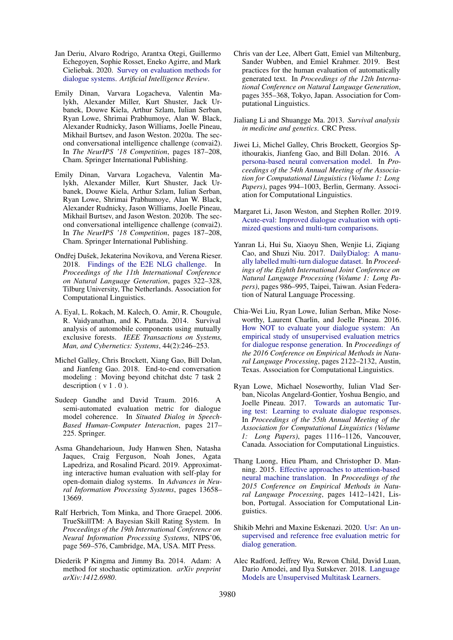- <span id="page-9-4"></span>Jan Deriu, Alvaro Rodrigo, Arantxa Otegi, Guillermo Echegoyen, Sophie Rosset, Eneko Agirre, and Mark Cieliebak. 2020. [Survey on evaluation methods for](https://doi.org/10.1007/s10462-020-09866-x) [dialogue systems.](https://doi.org/10.1007/s10462-020-09866-x) *Artificial Intelligence Review*.
- <span id="page-9-3"></span>Emily Dinan, Varvara Logacheva, Valentin Malykh, Alexander Miller, Kurt Shuster, Jack Urbanek, Douwe Kiela, Arthur Szlam, Iulian Serban, Ryan Lowe, Shrimai Prabhumoye, Alan W. Black, Alexander Rudnicky, Jason Williams, Joelle Pineau, Mikhail Burtsev, and Jason Weston. 2020a. The second conversational intelligence challenge (convai2). In *The NeurIPS '18 Competition*, pages 187–208, Cham. Springer International Publishing.
- <span id="page-9-9"></span>Emily Dinan, Varvara Logacheva, Valentin Malykh, Alexander Miller, Kurt Shuster, Jack Urbanek, Douwe Kiela, Arthur Szlam, Iulian Serban, Ryan Lowe, Shrimai Prabhumoye, Alan W. Black, Alexander Rudnicky, Jason Williams, Joelle Pineau, Mikhail Burtsev, and Jason Weston. 2020b. The second conversational intelligence challenge (convai2). In *The NeurIPS '18 Competition*, pages 187–208, Cham. Springer International Publishing.
- <span id="page-9-11"></span>Ondřej Dušek, Jekaterina Novikova, and Verena Rieser. 2018. [Findings of the E2E NLG challenge.](https://doi.org/10.18653/v1/W18-6539) In *Proceedings of the 11th International Conference on Natural Language Generation*, pages 322–328, Tilburg University, The Netherlands. Association for Computational Linguistics.
- <span id="page-9-14"></span>A. Eyal, L. Rokach, M. Kalech, O. Amir, R. Chougule, R. Vaidyanathan, and K. Pattada. 2014. Survival analysis of automobile components using mutually exclusive forests. *IEEE Transactions on Systems, Man, and Cybernetics: Systems*, 44(2):246–253.
- <span id="page-9-5"></span>Michel Galley, Chris Brockett, Xiang Gao, Bill Dolan, and Jianfeng Gao. 2018. End-to-end conversation modeling : Moving beyond chitchat dstc 7 task 2 description  $(v 1.0)$ .
- <span id="page-9-17"></span>Sudeep Gandhe and David Traum. 2016. A semi-automated evaluation metric for dialogue model coherence. In *Situated Dialog in Speech-Based Human-Computer Interaction*, pages 217– 225. Springer.
- <span id="page-9-7"></span>Asma Ghandeharioun, Judy Hanwen Shen, Natasha Jaques, Craig Ferguson, Noah Jones, Agata Lapedriza, and Rosalind Picard. 2019. Approximating interactive human evaluation with self-play for open-domain dialog systems. In *Advances in Neural Information Processing Systems*, pages 13658– 13669.
- <span id="page-9-12"></span>Ralf Herbrich, Tom Minka, and Thore Graepel. 2006. TrueSkillTM: A Bayesian Skill Rating System. In *Proceedings of the 19th International Conference on Neural Information Processing Systems*, NIPS'06, page 569–576, Cambridge, MA, USA. MIT Press.
- <span id="page-9-19"></span>Diederik P Kingma and Jimmy Ba. 2014. Adam: A method for stochastic optimization. *arXiv preprint arXiv:1412.6980*.
- <span id="page-9-8"></span>Chris van der Lee, Albert Gatt, Emiel van Miltenburg, Sander Wubben, and Emiel Krahmer. 2019. Best practices for the human evaluation of automatically generated text. In *Proceedings of the 12th International Conference on Natural Language Generation*, pages 355–368, Tokyo, Japan. Association for Computational Linguistics.
- <span id="page-9-13"></span>Jialiang Li and Shuangge Ma. 2013. *Survival analysis in medicine and genetics*. CRC Press.
- <span id="page-9-6"></span>Jiwei Li, Michel Galley, Chris Brockett, Georgios Spithourakis, Jianfeng Gao, and Bill Dolan. 2016. [A](https://doi.org/10.18653/v1/P16-1094) [persona-based neural conversation model.](https://doi.org/10.18653/v1/P16-1094) In *Proceedings of the 54th Annual Meeting of the Association for Computational Linguistics (Volume 1: Long Papers)*, pages 994–1003, Berlin, Germany. Association for Computational Linguistics.
- <span id="page-9-10"></span>Margaret Li, Jason Weston, and Stephen Roller. 2019. [Acute-eval: Improved dialogue evaluation with opti](https://arxiv.org/abs/1909.03087)[mized questions and multi-turn comparisons.](https://arxiv.org/abs/1909.03087)
- <span id="page-9-15"></span>Yanran Li, Hui Su, Xiaoyu Shen, Wenjie Li, Ziqiang Cao, and Shuzi Niu. 2017. [DailyDialog: A manu](https://www.aclweb.org/anthology/I17-1099)[ally labelled multi-turn dialogue dataset.](https://www.aclweb.org/anthology/I17-1099) In *Proceedings of the Eighth International Joint Conference on Natural Language Processing (Volume 1: Long Papers)*, pages 986–995, Taipei, Taiwan. Asian Federation of Natural Language Processing.
- <span id="page-9-0"></span>Chia-Wei Liu, Ryan Lowe, Iulian Serban, Mike Noseworthy, Laurent Charlin, and Joelle Pineau. 2016. [How NOT to evaluate your dialogue system: An](https://doi.org/10.18653/v1/D16-1230) [empirical study of unsupervised evaluation metrics](https://doi.org/10.18653/v1/D16-1230) [for dialogue response generation.](https://doi.org/10.18653/v1/D16-1230) In *Proceedings of the 2016 Conference on Empirical Methods in Natural Language Processing*, pages 2122–2132, Austin, Texas. Association for Computational Linguistics.
- <span id="page-9-1"></span>Ryan Lowe, Michael Noseworthy, Iulian Vlad Serban, Nicolas Angelard-Gontier, Yoshua Bengio, and Joelle Pineau. 2017. [Towards an automatic Tur](https://doi.org/10.18653/v1/P17-1103)[ing test: Learning to evaluate dialogue responses.](https://doi.org/10.18653/v1/P17-1103) In *Proceedings of the 55th Annual Meeting of the Association for Computational Linguistics (Volume 1: Long Papers)*, pages 1116–1126, Vancouver, Canada. Association for Computational Linguistics.
- <span id="page-9-18"></span>Thang Luong, Hieu Pham, and Christopher D. Manning. 2015. [Effective approaches to attention-based](https://doi.org/10.18653/v1/D15-1166) [neural machine translation.](https://doi.org/10.18653/v1/D15-1166) In *Proceedings of the 2015 Conference on Empirical Methods in Natural Language Processing*, pages 1412–1421, Lisbon, Portugal. Association for Computational Linguistics.
- <span id="page-9-2"></span>Shikib Mehri and Maxine Eskenazi. 2020. [Usr: An un](http://arxiv.org/abs/2005.00456)[supervised and reference free evaluation metric for](http://arxiv.org/abs/2005.00456) [dialog generation.](http://arxiv.org/abs/2005.00456)
- <span id="page-9-16"></span>Alec Radford, Jeffrey Wu, Rewon Child, David Luan, Dario Amodei, and Ilya Sutskever. 2018. [Language](https://d4mucfpksywv.cloudfront.net/better-language-models/language-models.pdf) [Models are Unsupervised Multitask Learners.](https://d4mucfpksywv.cloudfront.net/better-language-models/language-models.pdf)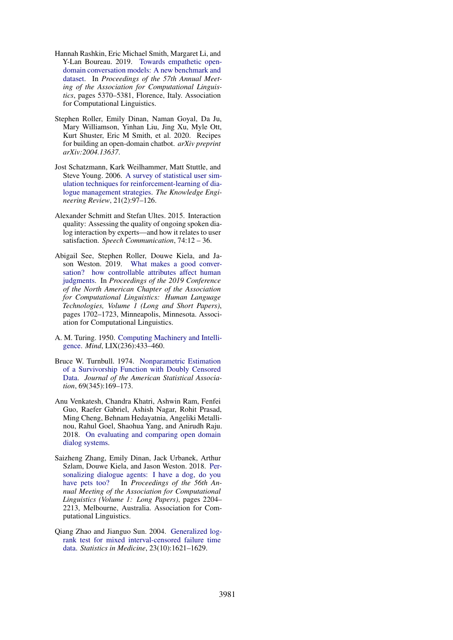- <span id="page-10-7"></span>Hannah Rashkin, Eric Michael Smith, Margaret Li, and Y-Lan Boureau. 2019. [Towards empathetic open](https://doi.org/10.18653/v1/P19-1534)[domain conversation models: A new benchmark and](https://doi.org/10.18653/v1/P19-1534) [dataset.](https://doi.org/10.18653/v1/P19-1534) In *Proceedings of the 57th Annual Meeting of the Association for Computational Linguistics*, pages 5370–5381, Florence, Italy. Association for Computational Linguistics.
- <span id="page-10-9"></span>Stephen Roller, Emily Dinan, Naman Goyal, Da Ju, Mary Williamson, Yinhan Liu, Jing Xu, Myle Ott, Kurt Shuster, Eric M Smith, et al. 2020. Recipes for building an open-domain chatbot. *arXiv preprint arXiv:2004.13637*.
- <span id="page-10-3"></span>Jost Schatzmann, Kark Weilhammer, Matt Stuttle, and Steve Young. 2006. [A survey of statistical user sim](https://search.proquest.com/docview/217517188?accountid=15920)[ulation techniques for reinforcement-learning of dia](https://search.proquest.com/docview/217517188?accountid=15920)[logue management strategies.](https://search.proquest.com/docview/217517188?accountid=15920) *The Knowledge Engineering Review*, 21(2):97–126.
- <span id="page-10-2"></span>Alexander Schmitt and Stefan Ultes. 2015. Interaction quality: Assessing the quality of ongoing spoken dialog interaction by experts—and how it relates to user satisfaction. *Speech Communication*, 74:12 – 36.
- <span id="page-10-0"></span>Abigail See, Stephen Roller, Douwe Kiela, and Jason Weston. 2019. [What makes a good conver](https://doi.org/10.18653/v1/N19-1170)[sation? how controllable attributes affect human](https://doi.org/10.18653/v1/N19-1170) [judgments.](https://doi.org/10.18653/v1/N19-1170) In *Proceedings of the 2019 Conference of the North American Chapter of the Association for Computational Linguistics: Human Language Technologies, Volume 1 (Long and Short Papers)*, pages 1702–1723, Minneapolis, Minnesota. Association for Computational Linguistics.
- <span id="page-10-4"></span>A. M. Turing. 1950. [Computing Machinery and Intelli](https://doi.org/10.1093/mind/LIX.236.433)[gence.](https://doi.org/10.1093/mind/LIX.236.433) *Mind*, LIX(236):433–460.
- <span id="page-10-5"></span>Bruce W. Turnbull. 1974. [Nonparametric Estimation](https://doi.org/10.1080/01621459.1974.10480146) [of a Survivorship Function with Doubly Censored](https://doi.org/10.1080/01621459.1974.10480146) [Data.](https://doi.org/10.1080/01621459.1974.10480146) *Journal of the American Statistical Association*, 69(345):169–173.
- <span id="page-10-1"></span>Anu Venkatesh, Chandra Khatri, Ashwin Ram, Fenfei Guo, Raefer Gabriel, Ashish Nagar, Rohit Prasad, Ming Cheng, Behnam Hedayatnia, Angeliki Metallinou, Rahul Goel, Shaohua Yang, and Anirudh Raju. 2018. [On evaluating and comparing open domain](http://arxiv.org/abs/1801.03625) [dialog systems.](http://arxiv.org/abs/1801.03625)
- <span id="page-10-8"></span>Saizheng Zhang, Emily Dinan, Jack Urbanek, Arthur Szlam, Douwe Kiela, and Jason Weston. 2018. [Per](https://doi.org/10.18653/v1/P18-1205)[sonalizing dialogue agents: I have a dog, do you](https://doi.org/10.18653/v1/P18-1205) [have pets too?](https://doi.org/10.18653/v1/P18-1205) In *Proceedings of the 56th Annual Meeting of the Association for Computational Linguistics (Volume 1: Long Papers)*, pages 2204– 2213, Melbourne, Australia. Association for Computational Linguistics.
- <span id="page-10-6"></span>Qiang Zhao and Jianguo Sun. 2004. [Generalized log](https://doi.org/10.1002/sim.1746)[rank test for mixed interval-censored failure time](https://doi.org/10.1002/sim.1746) [data.](https://doi.org/10.1002/sim.1746) *Statistics in Medicine*, 23(10):1621–1629.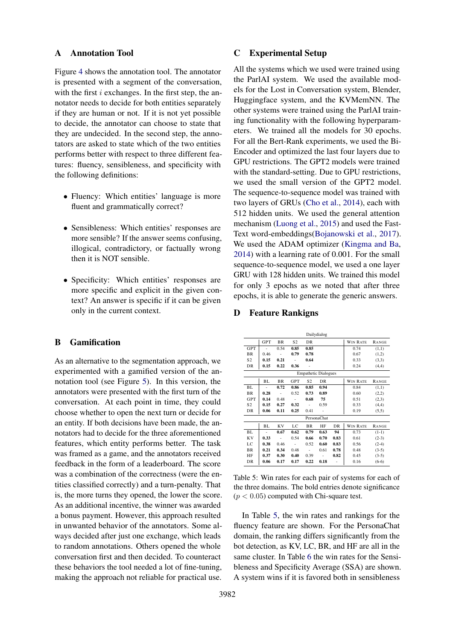#### A Annotation Tool

Figure [4](#page-12-1) shows the annotation tool. The annotator is presented with a segment of the conversation, with the first  $i$  exchanges. In the first step, the annotator needs to decide for both entities separately if they are human or not. If it is not yet possible to decide, the annotator can choose to state that they are undecided. In the second step, the annotators are asked to state which of the two entities performs better with respect to three different features: fluency, sensibleness, and specificity with the following definitions:

- Fluency: Which entities' language is more fluent and grammatically correct?
- Sensibleness: Which entities' responses are more sensible? If the answer seems confusing, illogical, contradictory, or factually wrong then it is NOT sensible.
- Specificity: Which entities' responses are more specific and explicit in the given context? An answer is specific if it can be given only in the current context.

# <span id="page-11-0"></span>B Gamification

As an alternative to the segmentation approach, we experimented with a gamified version of the annotation tool (see Figure [5\)](#page-12-2). In this version, the annotators were presented with the first turn of the conversation. At each point in time, they could choose whether to open the next turn or decide for an entity. If both decisions have been made, the annotators had to decide for the three aforementioned features, which entity performs better. The task was framed as a game, and the annotators received feedback in the form of a leaderboard. The score was a combination of the correctness (were the entities classified correctly) and a turn-penalty. That is, the more turns they opened, the lower the score. As an additional incentive, the winner was awarded a bonus payment. However, this approach resulted in unwanted behavior of the annotators. Some always decided after just one exchange, which leads to random annotations. Others opened the whole conversation first and then decided. To counteract these behaviors the tool needed a lot of fine-tuning, making the approach not reliable for practical use.

# C Experimental Setup

All the systems which we used were trained using the ParlAI system. We used the available models for the Lost in Conversation system, Blender, Huggingface system, and the KVMemNN. The other systems were trained using the ParlAI training functionality with the following hyperparameters. We trained all the models for 30 epochs. For all the Bert-Rank experiments, we used the Bi-Encoder and optimized the last four layers due to GPU restrictions. The GPT2 models were trained with the standard-setting. Due to GPU restrictions, we used the small version of the GPT2 model. The sequence-to-sequence model was trained with two layers of GRUs [\(Cho et al.,](#page-8-10) [2014\)](#page-8-10), each with 512 hidden units. We used the general attention mechanism [\(Luong et al.,](#page-9-18) [2015\)](#page-9-18) and used the Fast-Text word-embeddings[\(Bojanowski et al.,](#page-8-11) [2017\)](#page-8-11). We used the ADAM optimizer [\(Kingma and Ba,](#page-9-19) [2014\)](#page-9-19) with a learning rate of 0.001. For the small sequence-to-sequence model, we used a one layer GRU with 128 hidden units. We trained this model for only 3 epochs as we noted that after three epochs, it is able to generate the generic answers.

# D Feature Rankigns

<span id="page-11-1"></span>

|                | Dailydialog                 |           |                |                     |             |      |                 |              |  |  |
|----------------|-----------------------------|-----------|----------------|---------------------|-------------|------|-----------------|--------------|--|--|
|                | <b>GPT</b>                  | <b>BR</b> | S <sub>2</sub> | <b>DR</b>           |             |      | <b>WIN RATE</b> | RANGE        |  |  |
| <b>GPT</b>     |                             | 0.54      | 0.85           | 0.85                |             |      | 0.74            | (1,1)        |  |  |
| <b>BR</b>      | 0.46                        |           | 0.79           | 0.78                |             |      | 0.67            | (1,2)        |  |  |
| S <sub>2</sub> | 0.15                        | 0.21      |                | 0.64                |             |      | 0.33            | (3,3)        |  |  |
| DR             | 0.15                        | 0.22      | 0.36           |                     |             |      | 0.24            | (4,4)        |  |  |
|                | <b>Empathetic Dialogues</b> |           |                |                     |             |      |                 |              |  |  |
|                | BL                          | BR        | GPT            | S2                  | DR          |      | WIN RATE        | <b>RANGE</b> |  |  |
| BL             | ٠                           | 0.72      | 0.86           | 0.85                | 0.94        |      | 0.84            | (1,1)        |  |  |
| <b>BR</b>      | 0.28                        |           | 0.52           | 0.73                | 0.89        |      | 0.60            | (2,2)        |  |  |
| <b>GPT</b>     | 0.14                        | 0.48      |                | 0.68                | 75          |      | 0.51            | (2,3)        |  |  |
| S <sub>2</sub> | 0.15                        | 0.27      | 0.32           | $\bar{\phantom{a}}$ | 0.59        |      | 0.33            | (4,4)        |  |  |
| DR             | 0.06                        | 0.11      | 0.25           | 0.41                |             |      | 0.19            | (5,5)        |  |  |
|                |                             |           |                |                     | PersonaChat |      |                 |              |  |  |
|                | BL                          | <b>KV</b> | LC             | BR                  | HF          | DR   | <b>WIN RATE</b> | RANGE        |  |  |
| BL             |                             | 0.67      | 0.62           | 0.79                | 0.63        | 94   | 0.73            | $(1-1)$      |  |  |
| <b>KV</b>      | 0.33                        | ÷.        | 0.54           | 0.66                | 0.70        | 0.83 | 0.61            | $(2-3)$      |  |  |
| LC             | 0.38                        | 0.46      | $\sim$         | 0.52                | 0.60        | 0.83 | 0.56            | $(2-4)$      |  |  |
| <b>BR</b>      | 0.21                        | 0.34      | 0.48           | ÷                   | 0.61        | 0.78 | 0.48            | $(3-5)$      |  |  |
| HF             | 0.37                        | 0.30      | 0.40           | 0.39                |             | 0.82 | 0.45            | $(3-5)$      |  |  |
| <b>DR</b>      | 0.06                        | 0.17      | 0.17           | 0.22                | 0.18        |      | 0.16            | $(6-6)$      |  |  |

Table 5: Win rates for each pair of systems for each of the three domains. The bold entries denote significance  $(p < 0.05)$  computed with Chi-square test.

In Table [5,](#page-11-1) the win rates and rankings for the fluency feature are shown. For the PersonaChat domain, the ranking differs significantly from the bot detection, as KV, LC, BR, and HF are all in the same cluster. In Table [6](#page-12-3) the win rates for the Sensibleness and Specificity Average (SSA) are shown. A system wins if it is favored both in sensibleness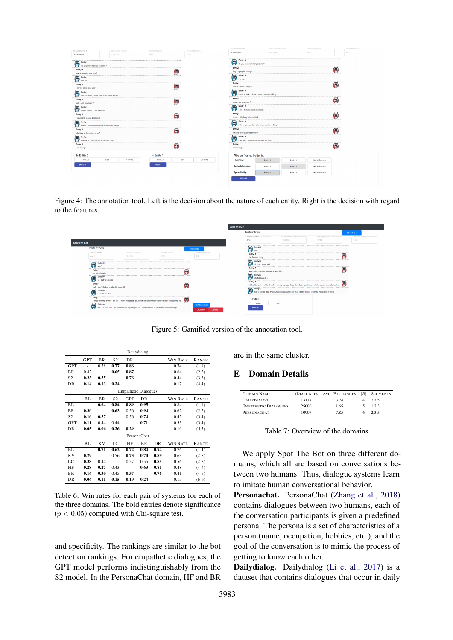<span id="page-12-1"></span>

| Required Worker ID                                                     |                                                  | - Conversation Progress | - Package Progress |            | - Amotated Packages | Required Worker ID                                        | - Conversation Progress                          |          | - Package Progress   |           | - Annotated Packages |
|------------------------------------------------------------------------|--------------------------------------------------|-------------------------|--------------------|------------|---------------------|-----------------------------------------------------------|--------------------------------------------------|----------|----------------------|-----------|----------------------|
| Annotator1                                                             | 73.333%                                          |                         | 0/15               | 0/3        |                     | Annotator1                                                | 73.333%                                          |          | 0/15                 |           | 0/3                  |
| Ø<br>Entity: 0                                                         |                                                  |                         |                    |            |                     | Entity: 0<br>g<br>do you know familiar persons ?          |                                                  |          |                      |           |                      |
| do you know familiar persons?<br>Entity: 1<br>hey, 2 people, and you ? |                                                  |                         |                    | Ø          |                     | Entity: 1<br>hey, 2 people . and you ?                    |                                                  |          |                      | 9         |                      |
| Ø<br>Entity: 0<br>I'm not                                              |                                                  |                         |                    |            |                     | Ē<br>Entity: 0<br>i'm not                                 |                                                  |          |                      | ********* |                      |
| Entity: 1<br>i have 5 sons . and you ?                                 |                                                  |                         |                    | Θ          |                     | Entity: 1<br>i have 5 sons . and you ?                    |                                                  |          |                      | g         |                      |
| g<br>Entity: 0                                                         | i do not drink, i drink a lot of mountain biking |                         |                    |            |                     | Entity: 0<br>Θ                                            | i do not drink, i drink a lot of mountain biking |          |                      |           |                      |
| Entity: 1<br>okay . are you male ?                                     |                                                  |                         |                    | Ø          |                     | Entity: 1<br>okay , are you male ?                        |                                                  |          |                      | g         |                      |
| g<br>Entity: 0<br>i am a female, i am a female                         |                                                  |                         |                    |            |                     | g<br>Entity: 0<br>i am a female , i am a female           |                                                  |          |                      |           |                      |
| Entity: 1<br>i coach little league basketbal                           |                                                  |                         |                    | Ø          |                     | Entity: 1<br>i coach little league basketball             |                                                  |          |                      | 9         |                      |
| Ø<br>Entity: 0                                                         | i like to go mountain bike and mountain biking   |                         |                    |            |                     | 9<br>Entity: 0                                            | i like to go mountain bike and mountain biking   |          |                      |           |                      |
| Entity: 1<br>what is your favourite colour ?                           |                                                  |                         |                    | Θ          |                     | Entity: 1<br>what is your favourite colour ?              |                                                  |          |                      | Θ         |                      |
| Ø<br>Entity: 0<br>ilike blue , reminds me of summer time               |                                                  |                         |                    |            |                     | g<br>Entity: 0<br>i like blue , reminds me of summer tim- |                                                  |          |                      |           |                      |
| Entity: 1<br>i like orange                                             |                                                  |                         |                    | ρ          |                     | Entity: 1<br>i like orange                                |                                                  |          |                      | 9         |                      |
| <b>Is Entity 0</b>                                                     |                                                  |                         | <b>Is Entity 1</b> |            |                     | Who perfromed better in:                                  |                                                  |          |                      |           |                      |
| HUMAN                                                                  | BOT                                              | <b>UNSURE</b>           | <b>HUMAN</b>       | <b>BOT</b> | <b>UNSURE</b>       | <b>Fluency:</b>                                           | Entity 0                                         | Entity 1 | No Difference        |           |                      |
| <b>SUBMIT</b>                                                          |                                                  |                         | <b>SUBMIT</b>      |            |                     | Sensibleness:                                             | Entity 0                                         | Entity 1 | <b>No Difference</b> |           |                      |
|                                                                        |                                                  |                         |                    |            |                     | <b>Specificity:</b>                                       | Entity 0                                         | Entity 1 | No Difference        |           |                      |

Figure 4: The annotation tool. Left is the decision about the nature of each entity. Right is the decision with regard to the features.

<span id="page-12-2"></span>

|              |                                                                                                                                      |                                                                                                            |                            |                                             | Spot The Bot |                                                       |                                                                                                                          |                             |    |                             |
|--------------|--------------------------------------------------------------------------------------------------------------------------------------|------------------------------------------------------------------------------------------------------------|----------------------------|---------------------------------------------|--------------|-------------------------------------------------------|--------------------------------------------------------------------------------------------------------------------------|-----------------------------|----|-----------------------------|
|              |                                                                                                                                      | Instructions                                                                                               |                            |                                             |              |                                                       |                                                                                                                          | ShowiHide                   |    |                             |
|              |                                                                                                                                      |                                                                                                            |                            |                                             |              | - Required Worker ID<br>Ann1                          | - Conversation Progress<br>75,000%                                                                                       | - Package Progress<br>0.019 |    | - Annotated Packages<br>0/3 |
| Spot The Bot |                                                                                                                                      |                                                                                                            |                            |                                             |              |                                                       |                                                                                                                          |                             |    |                             |
|              | Instructions                                                                                                                         |                                                                                                            |                            | <b>ShowiHide</b>                            |              | Entity:<br>ਛ                                          |                                                                                                                          |                             |    |                             |
|              | Required Worker D<br>Ann'                                                                                                            | - Conversation Progress<br>75,000%                                                                         | - Package Progress<br>0/19 | - Annotated Packages<br>0/3                 |              | Entity:<br>her father is dving                        |                                                                                                                          |                             | ſm |                             |
|              | Entity:<br>g                                                                                                                         |                                                                                                            |                            |                                             |              | Entity:<br>ಹ<br>×<br>that 's very sad                 |                                                                                                                          |                             |    |                             |
|              | Entity:<br>her father is dving                                                                                                       |                                                                                                            |                            |                                             |              | Entity:<br>yeah . she's broken up about it . poor kid |                                                                                                                          |                             | ſm |                             |
|              | Entity:<br>œ                                                                                                                         |                                                                                                            |                            |                                             |              | ₹<br>Entity:                                          |                                                                                                                          |                             |    |                             |
|              | <b>Entity:</b><br>yeah . she's broken up about it . poor kid.                                                                        |                                                                                                            |                            |                                             |              | Entity:<br>ᢛ                                          | i talked to her for a while , but she 's really decressed , so . i made an appointment with the school counselor for her |                             | ю  |                             |
|              | 怎<br>Fotby:<br>what did you do                                                                                                       |                                                                                                            |                            |                                             |              |                                                       | that's a good idea . the counselor is a psychologist . he's better trained to handle these sorts of things               |                             |    |                             |
|              | Entity: 1<br>i talked to her for a while , but she's really depressed . so , i made an appointment with the school counselor for her |                                                                                                            |                            |                                             |              | <b>Is Entity 1</b><br>HUMAN                           | BOT                                                                                                                      |                             |    |                             |
|              | Entity: 0                                                                                                                            | that's a good idea . the counselor is a psychologist . he's better trained to handle these sorts of things |                            | <b>Next Exchang</b><br>Decide 0<br>Decide 1 |              | <b>SURMIT</b>                                         |                                                                                                                          |                             |    |                             |

Figure 5: Gamified version of the annotation tool.

<span id="page-12-3"></span>

|                | Dailydialog |                     |                      |                             |             |           |                 |              |  |
|----------------|-------------|---------------------|----------------------|-----------------------------|-------------|-----------|-----------------|--------------|--|
|                | <b>GPT</b>  | <b>BR</b>           | S <sub>2</sub>       | DR                          |             |           | <b>WIN RATE</b> | <b>RANGE</b> |  |
| <b>GPT</b>     |             | 0.58                | 0.77                 | 0.86                        |             |           | 0.74            | (1,1)        |  |
| <b>BR</b>      | 0.42        | ä,                  | 0.65                 | 0.87                        |             |           | 0.64            | (2,2)        |  |
| S <sub>2</sub> | 0.23        | 0.35                |                      | 0.76                        |             |           | 0.44            | (3,3)        |  |
| DR             | 0.14        | 0.13                | 0.24                 |                             |             |           | 0.17            | (4,4)        |  |
|                |             |                     |                      | <b>Empathetic Dialogues</b> |             |           |                 |              |  |
|                | BL          | <b>BR</b>           | S <sub>2</sub>       | <b>GPT</b>                  | DR          |           | <b>WIN RATE</b> | <b>RANGE</b> |  |
| BL             |             | 0.64                | 0.84                 | 0.89                        | 0.95        |           | 0.84            | (1,1)        |  |
| <b>BR</b>      | 0.36        | $\sim$              | 0.63                 | 0.56                        | 0.94        |           | 0.62            | (2,2)        |  |
| S <sub>2</sub> | 0.16        | 0.37                | $\ddot{\phantom{0}}$ | 0.56                        | 0.74        |           | 0.45            | (3,4)        |  |
| <b>GPT</b>     | 0.11        | 0.44                | 0.44                 |                             | 0.71        |           | 0.33            | (3,4)        |  |
| <b>DR</b>      | 0.05        | 0.06                | 0.26                 | 0.29                        |             |           | 0.16            | (5,5)        |  |
|                |             |                     |                      |                             | PersonaChat |           |                 |              |  |
|                | BL          | <b>KV</b>           | LC                   | HF                          | <b>BR</b>   | <b>DR</b> | <b>WIN RATE</b> | <b>RANGE</b> |  |
| BL             |             | 0.71                | 0.62                 | 0.72                        | 0.84        | 0.94      | 0.76            | $(1-1)$      |  |
| KV             | 0.29        | $\bar{\phantom{a}}$ | 0.56                 | 0.73                        | 0.70        | 0.89      | 0.63            | $(2-3)$      |  |
| LC             | 0.38        | 0.44                |                      | 0.57                        | 0.55        | 0.85      | 0.56            | $(2-3)$      |  |
| HF             | 0.28        | 0.27                | 0.43                 | $\blacksquare$              | 0.63        | 0.81      | 0.48            | $(4-4)$      |  |
| <b>BR</b>      | 0.16        | 0.30                | 0.45                 | 0.37                        |             | 0.76      | 0.41            | $(4-5)$      |  |
| DR             | 0.06        | 0.11                | 0.15                 | 0.19                        | 0.24        |           | 0.15            | $(6-6)$      |  |

Table 6: Win rates for each pair of systems for each of the three domains. The bold entries denote significance  $(p < 0.05)$  computed with Chi-square test.

and specificity. The rankings are similar to the bot detection rankings. For empathetic dialogues, the GPT model performs indistinguishably from the S2 model. In the PersonaChat domain, HF and BR

are in the same cluster.

# <span id="page-12-0"></span>E Domain Details

| <b>DOMAIN NAME</b>          | #DIALOGUES | AVG. EXCHANGES | $\boldsymbol{B}$ | <b>SEGMENTS</b> |
|-----------------------------|------------|----------------|------------------|-----------------|
| DAILYDIALOG                 | 13118      | 374            |                  | 2.3.5           |
| <b>EMPATHETIC DIALOGUES</b> | 25000      | 1.65           |                  | 1.2.3           |
| PERSONACHAT                 | 10907      | 7.85           |                  | うてる             |

Table 7: Overview of the domains

We apply Spot The Bot on three different domains, which all are based on conversations between two humans. Thus, dialogue systems learn to imitate human conversational behavior.

Personachat. PersonaChat [\(Zhang et al.,](#page-10-8) [2018\)](#page-10-8) contains dialogues between two humans, each of the conversation participants is given a predefined persona. The persona is a set of characteristics of a person (name, occupation, hobbies, etc.), and the goal of the conversation is to mimic the process of getting to know each other.

Dailydialog. Dailydialog [\(Li et al.,](#page-9-15) [2017\)](#page-9-15) is a dataset that contains dialogues that occur in daily